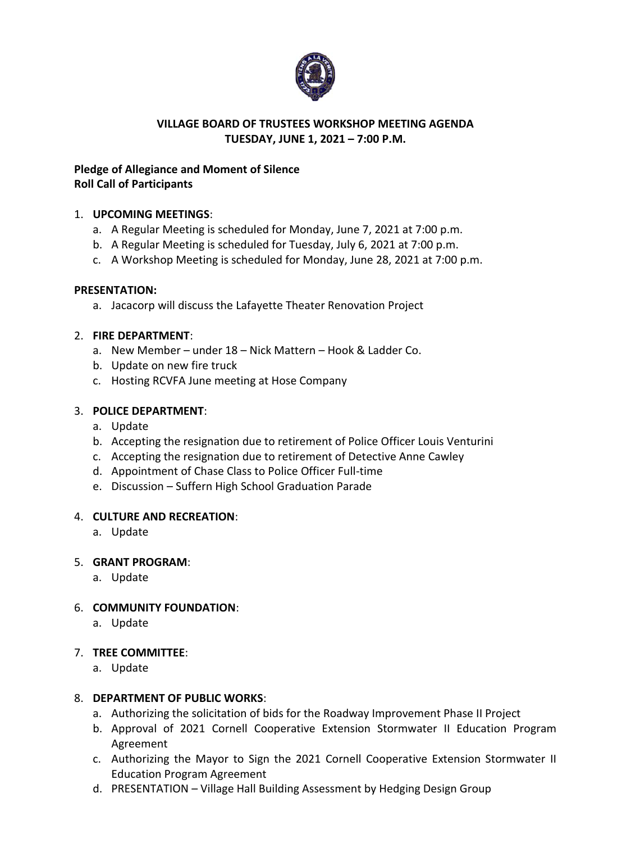

#### **VILLAGE BOARD OF TRUSTEES WORKSHOP MEETING AGENDA TUESDAY, JUNE 1, 2021 – 7:00 P.M.**

# **Pledge of Allegiance and Moment of Silence Roll Call of Participants**

## 1. **UPCOMING MEETINGS**:

- a. A Regular Meeting is scheduled for Monday, June 7, 2021 at 7:00 p.m.
- b. A Regular Meeting is scheduled for Tuesday, July 6, 2021 at 7:00 p.m.
- c. A Workshop Meeting is scheduled for Monday, June 28, 2021 at 7:00 p.m.

## **PRESENTATION:**

a. Jacacorp will discuss the Lafayette Theater Renovation Project

## 2. **FIRE DEPARTMENT**:

- a. New Member under 18 Nick Mattern Hook & Ladder Co.
- b. Update on new fire truck
- c. Hosting RCVFA June meeting at Hose Company

## 3. **POLICE DEPARTMENT**:

- a. Update
- b. Accepting the resignation due to retirement of Police Officer Louis Venturini
- c. Accepting the resignation due to retirement of Detective Anne Cawley
- d. Appointment of Chase Class to Police Officer Full-time
- e. Discussion Suffern High School Graduation Parade

## 4. **CULTURE AND RECREATION**:

a. Update

## 5. **GRANT PROGRAM**:

a. Update

## 6. **COMMUNITY FOUNDATION**:

a. Update

## 7. **TREE COMMITTEE**:

a. Update

## 8. **DEPARTMENT OF PUBLIC WORKS**:

- a. Authorizing the solicitation of bids for the Roadway Improvement Phase II Project
- b. Approval of 2021 Cornell Cooperative Extension Stormwater II Education Program Agreement
- c. Authorizing the Mayor to Sign the 2021 Cornell Cooperative Extension Stormwater II Education Program Agreement
- d. PRESENTATION Village Hall Building Assessment by Hedging Design Group